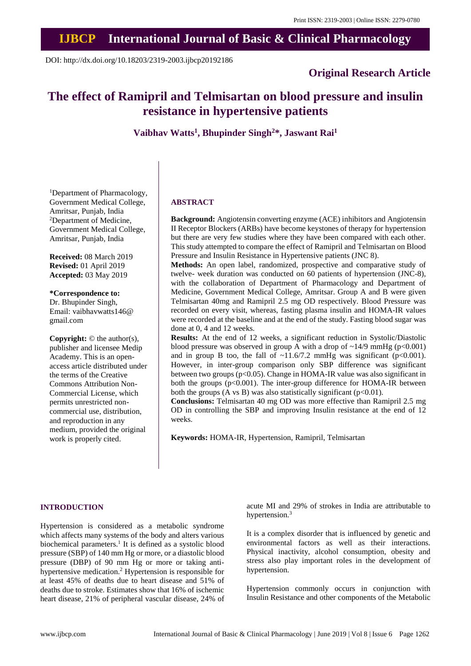# **IJBCP International Journal of Basic & Clinical Pharmacology**

DOI: http://dx.doi.org/10.18203/2319-2003.ijbcp20192186

## **Original Research Article**

## **The effect of Ramipril and Telmisartan on blood pressure and insulin resistance in hypertensive patients**

**Vaibhav Watts<sup>1</sup> , Bhupinder Singh<sup>2</sup>\*, Jaswant Rai<sup>1</sup>**

<sup>1</sup>Department of Pharmacology, Government Medical College, Amritsar, Punjab, India <sup>2</sup>Department of Medicine, Government Medical College, Amritsar, Punjab, India

**Received:** 08 March 2019 **Revised:** 01 April 2019 **Accepted:** 03 May 2019

**\*Correspondence to:** Dr. Bhupinder Singh, Email: vaibhavwatts146@ gmail.com

**Copyright:** © the author(s), publisher and licensee Medip Academy. This is an openaccess article distributed under the terms of the Creative Commons Attribution Non-Commercial License, which permits unrestricted noncommercial use, distribution, and reproduction in any medium, provided the original work is properly cited.

## **ABSTRACT**

**Background:** Angiotensin converting enzyme (ACE) inhibitors and Angiotensin II Receptor Blockers (ARBs) have become keystones of therapy for hypertension but there are very few studies where they have been compared with each other. This study attempted to compare the effect of Ramipril and Telmisartan on Blood Pressure and Insulin Resistance in Hypertensive patients (JNC 8).

**Methods:** An open label, randomized, prospective and comparative study of twelve- week duration was conducted on 60 patients of hypertension (JNC-8), with the collaboration of Department of Pharmacology and Department of Medicine, Government Medical College, Amritsar. Group A and B were given Telmisartan 40mg and Ramipril 2.5 mg OD respectively. Blood Pressure was recorded on every visit, whereas, fasting plasma insulin and HOMA-IR values were recorded at the baseline and at the end of the study. Fasting blood sugar was done at 0, 4 and 12 weeks.

**Results:** At the end of 12 weeks, a significant reduction in Systolic/Diastolic blood pressure was observed in group A with a drop of  $\sim$ 14/9 mmHg (p<0.001) and in group B too, the fall of  $\sim$ 11.6/7.2 mmHg was significant (p<0.001). However, in inter-group comparison only SBP difference was significant between two groups ( $p<0.05$ ). Change in HOMA-IR value was also significant in both the groups (p<0.001). The inter-group difference for HOMA-IR between both the groups (A vs B) was also statistically significant ( $p<0.01$ ).

**Conclusions:** Telmisartan 40 mg OD was more effective than Ramipril 2.5 mg OD in controlling the SBP and improving Insulin resistance at the end of 12 weeks.

**Keywords:** HOMA-IR, Hypertension, Ramipril, Telmisartan

## **INTRODUCTION**

Hypertension is considered as a metabolic syndrome which affects many systems of the body and alters various biochemical parameters.<sup>1</sup> It is defined as a systolic blood pressure (SBP) of 140 mm Hg or more, or a diastolic blood pressure (DBP) of 90 mm Hg or more or taking antihypertensive medication.<sup>2</sup> Hypertension is responsible for at least 45% of deaths due to heart disease and 51% of deaths due to stroke. Estimates show that 16% of ischemic heart disease, 21% of peripheral vascular disease, 24% of acute MI and 29% of strokes in India are attributable to hypertension.<sup>3</sup>

It is a complex disorder that is influenced by genetic and environmental factors as well as their interactions. Physical inactivity, alcohol consumption, obesity and stress also play important roles in the development of hypertension.

Hypertension commonly occurs in conjunction with Insulin Resistance and other components of the Metabolic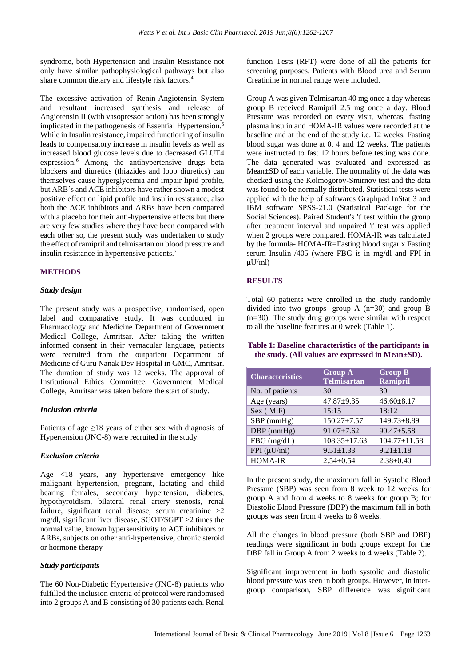syndrome, both Hypertension and Insulin Resistance not only have similar pathophysiological pathways but also share common dietary and lifestyle risk factors.<sup>4</sup>

The excessive activation of Renin-Angiotensin System and resultant increased synthesis and release of Angiotensin II (with vasopressor action) has been strongly implicated in the pathogenesis of Essential Hypertension.<sup>5</sup> While in Insulin resistance, impaired functioning of insulin leads to compensatory increase in insulin levels as well as increased blood glucose levels due to decreased GLUT4 expression.<sup>6</sup> Among the antihypertensive drugs beta blockers and diuretics (thiazides and loop diuretics) can themselves cause hyperglycemia and impair lipid profile, but ARB's and ACE inhibitors have rather shown a modest positive effect on lipid profile and insulin resistance; also both the ACE inhibitors and ARBs have been compared with a placebo for their anti-hypertensive effects but there are very few studies where they have been compared with each other so, the present study was undertaken to study the effect of ramipril and telmisartan on blood pressure and insulin resistance in hypertensive patients.<sup>7</sup>

## **METHODS**

#### *Study design*

The present study was a prospective, randomised, open label and comparative study. It was conducted in Pharmacology and Medicine Department of Government Medical College, Amritsar. After taking the written informed consent in their vernacular language, patients were recruited from the outpatient Department of Medicine of Guru Nanak Dev Hospital in GMC, Amritsar. The duration of study was 12 weeks. The approval of Institutional Ethics Committee, Government Medical College, Amritsar was taken before the start of study.

## *Inclusion criteria*

Patients of age  $\geq$ 18 years of either sex with diagnosis of Hypertension (JNC-8) were recruited in the study.

## *Exclusion criteria*

Age <18 years, any hypertensive emergency like malignant hypertension, pregnant, lactating and child bearing females, secondary hypertension, diabetes, hypothyroidism, bilateral renal artery stenosis, renal failure, significant renal disease, serum creatinine >2 mg/dl, significant liver disease, SGOT/SGPT >2 times the normal value, known hypersensitivity to ACE inhibitors or ARBs, subjects on other anti-hypertensive, chronic steroid or hormone therapy

## *Study participants*

The 60 Non-Diabetic Hypertensive (JNC-8) patients who fulfilled the inclusion criteria of protocol were randomised into 2 groups A and B consisting of 30 patients each. Renal function Tests (RFT) were done of all the patients for screening purposes. Patients with Blood urea and Serum Creatinine in normal range were included.

Group A was given Telmisartan 40 mg once a day whereas group B received Ramipril 2.5 mg once a day. Blood Pressure was recorded on every visit, whereas, fasting plasma insulin and HOMA-IR values were recorded at the baseline and at the end of the study i.e. 12 weeks. Fasting blood sugar was done at 0, 4 and 12 weeks. The patients were instructed to fast 12 hours before testing was done. The data generated was evaluated and expressed as Mean±SD of each variable. The normality of the data was checked using the Kolmogorov-Smirnov test and the data was found to be normally distributed. Statistical tests were applied with the help of softwares Graphpad InStat 3 and IBM software SPSS-21.0 (Statistical Package for the Social Sciences). Paired Student's 't' test within the group after treatment interval and unpaired 't' test was applied when 2 groups were compared. HOMA-IR was calculated by the formula- HOMA-IR=Fasting blood sugar x Fasting serum Insulin /405 (where FBG is in mg/dl and FPI in μU/ml)

## **RESULTS**

Total 60 patients were enrolled in the study randomly divided into two groups- group A (n=30) and group B  $(n=30)$ . The study drug groups were similar with respect to all the baseline features at 0 week (Table 1).

## **Table 1: Baseline characteristics of the participants in the study. (All values are expressed in Mean±SD).**

| <b>Characteristics</b> | <b>Group A-</b><br><b>Telmisartan</b> | <b>Group B-</b><br><b>Ramipril</b> |
|------------------------|---------------------------------------|------------------------------------|
| No. of patients        | 30                                    | 30                                 |
| Age (years)            | $47.87 + 9.35$                        | $46.60 \pm 8.17$                   |
| Sex (M:F)              | 15:15                                 | 18:12                              |
| SBP (mmHg)             | $150.27 \pm 7.57$                     | $149.73 \pm 8.89$                  |
| $DBP$ (mmHg)           | $91.07 \pm 7.62$                      | $90.47 \pm 5.58$                   |
| FBG (mg/dL)            | $108.35 \pm 17.63$                    | $104.77 \pm 11.58$                 |
| $FPI(\mu U/ml)$        | $9.51 \pm 1.33$                       | $9.21 \pm 1.18$                    |
| HOMA-IR                | $2.54 + 0.54$                         | $2.38 + 0.40$                      |

In the present study, the maximum fall in Systolic Blood Pressure (SBP) was seen from 8 week to 12 weeks for group A and from 4 weeks to 8 weeks for group B; for Diastolic Blood Pressure (DBP) the maximum fall in both groups was seen from 4 weeks to 8 weeks.

All the changes in blood pressure (both SBP and DBP) readings were significant in both groups except for the DBP fall in Group A from 2 weeks to 4 weeks (Table 2).

Significant improvement in both systolic and diastolic blood pressure was seen in both groups. However, in intergroup comparison, SBP difference was significant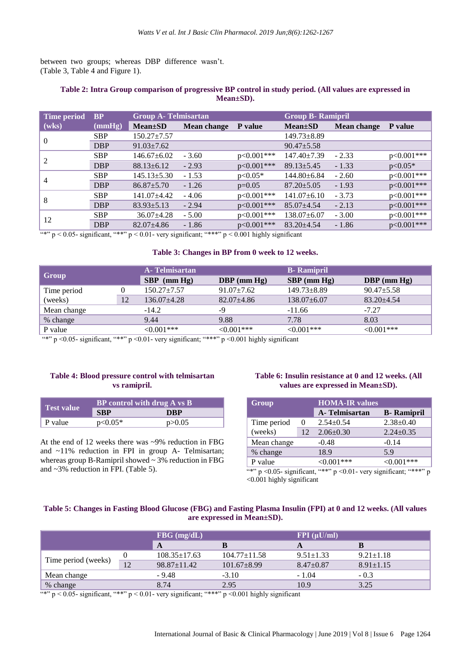between two groups; whereas DBP difference wasn't. (Table 3, Table 4 and Figure 1).

## **Table 2: Intra Group comparison of progressive BP control in study period. (All values are expressed in Mean±SD).**

| <b>Time period</b> | <b>BP</b>  | <b>Group A-Telmisartan</b> |             |              | <b>Group B- Ramipril</b> |             |                |
|--------------------|------------|----------------------------|-------------|--------------|--------------------------|-------------|----------------|
| (wks)              | (mmHg)     | $Mean \pm SD$              | Mean change | P value      | $Mean \pm SD$            | Mean change | <b>P</b> value |
| $\Omega$           | <b>SBP</b> | $150.27 \pm 7.57$          |             |              | $149.73 \pm 8.89$        |             |                |
|                    | <b>DBP</b> | $91.03 \pm 7.62$           |             |              | $90.47 \pm 5.58$         |             |                |
| 2                  | <b>SBP</b> | $146.67 \pm 6.02$          | $-3.60$     | $p<0.001***$ | $147.40 \pm 7.39$        | $-2.33$     | $p<0.001***$   |
|                    | <b>DBP</b> | $88.13 \pm 6.12$           | $-2.93$     | $p<0.001***$ | $89.13 \pm 5.45$         | $-1.33$     | $p<0.05*$      |
| 4                  | <b>SBP</b> | $145.13 \pm 5.30$          | $-1.53$     | $p<0.05*$    | $144.80 \pm 6.84$        | $-2.60$     | $p<0.001***$   |
|                    | <b>DBP</b> | $86.87 \pm 5.70$           | $-1.26$     | $p=0.05$     | $87.20 \pm 5.05$         | $-1.93$     | $p<0.001***$   |
| 8                  | <b>SBP</b> | 141.07±4.42                | $-4.06$     | $p<0.001***$ | $141.07 \pm 6.10$        | $-3.73$     | $p<0.001***$   |
|                    | <b>DBP</b> | $83.93 \pm 5.13$           | $-2.94$     | $p<0.001***$ | $85.07 \pm 4.54$         | $-2.13$     | $p<0.001***$   |
| 12                 | <b>SBP</b> | $36.07 \pm 4.28$           | $-5.00$     | $p<0.001***$ | $138.07 \pm 6.07$        | $-3.00$     | $p<0.001***$   |
|                    | <b>DBP</b> | $82.07 \pm 4.86$           | $-1.86$     | $p<0.001***$ | $83.20 \pm 4.54$         | $-1.86$     | $p<0.001***$   |

\*"  $p < 0.05$ - significant, "\*\*"  $p < 0.01$ - very significant; "\*\*\*"  $p < 0.001$  highly significant

## **Table 3: Changes in BP from 0 week to 12 weeks.**

| Group       |    | <b>A</b> -Telmisartan |                  | <b>B</b> - Ramipril |                  |  |
|-------------|----|-----------------------|------------------|---------------------|------------------|--|
|             |    | $SBP$ (mm Hg)         | $DBP$ (mm $Hg$ ) | $SBP$ (mm Hg)       | $DBP$ (mm Hg)    |  |
| Time period |    | $150.27 \pm 7.57$     | $91.07 \pm 7.62$ | $149.73 \pm 8.89$   | $90.47 \pm 5.58$ |  |
| (weeks)     | 12 | $136.07 + 4.28$       | $82.07 \pm 4.86$ | $138.07 \pm 6.07$   | $83.20 + 4.54$   |  |
| Mean change |    | $-14.2$               | -9               | $-11.66$            | $-7.27$          |  |
| % change    |    | 9.44                  | 9.88             | 7.78                | 8.03             |  |
| P value     |    | $<0.001***$           | $<0.001***$      | $<0.001***$         | $<0.001***$      |  |

 $\frac{m}{r}$   $\gamma$   $\leq$  0.05- significant, "\*\*\*" p  $\leq$  0.01- very significant; "\*\*\*" p  $\leq$  0.001 highly significant

## **Table 4: Blood pressure control with telmisartan vs ramipril.**

|                   | BP control with drug A vs B |          |  |  |
|-------------------|-----------------------------|----------|--|--|
| <b>Test value</b> | <b>SBP</b>                  | DBP      |  |  |
| P value           | $p<0.05*$                   | p > 0.05 |  |  |

At the end of 12 weeks there was ~9% reduction in FBG and ~11% reduction in FPI in group A- Telmisartan; whereas group B-Ramipril showed ~ 3% reduction in FBG and ~3% reduction in FPI. (Table 5).

## **Table 6: Insulin resistance at 0 and 12 weeks. (All values are expressed in Mean±SD).**

| Group       |          | <b>HOMA-IR values</b> |                     |  |  |
|-------------|----------|-----------------------|---------------------|--|--|
|             |          | <b>A</b> -Telmisartan | <b>B</b> - Ramipril |  |  |
| Time period | $\Omega$ | $2.54 + 0.54$         | $2.38 \pm 0.40$     |  |  |
| (weeks)     | 12       | $2.06 \pm 0.30$       | $2.24 + 0.35$       |  |  |
| Mean change |          | $-0.48$               | $-0.14$             |  |  |
| % change    |          | 18.9                  | 5.9                 |  |  |
| P value     |          | $<0.001***$           | $<0.001***$         |  |  |

 $\frac{m}{r}$ " p <0.05- significant, "\*\*" p <0.01- very significant; "\*\*\*" p <0.001 highly significant

## **Table 5: Changes in Fasting Blood Glucose (FBG) and Fasting Plasma Insulin (FPI) at 0 and 12 weeks. (All values are expressed in Mean±SD).**

|                     |    | $FBG$ (mg/dL)      |                    | $FPI(\mu U/ml)$ |                 |  |
|---------------------|----|--------------------|--------------------|-----------------|-----------------|--|
|                     |    | A                  |                    |                 |                 |  |
| Time period (weeks) |    | $108.35 \pm 17.63$ | $104.77 \pm 11.58$ | $9.51 \pm 1.33$ | $9.21 \pm 1.18$ |  |
|                     | 12 | $98.87 + 11.42$    | $101.67 \pm 8.99$  | $8.47 \pm 0.87$ | $8.91 \pm 1.15$ |  |
| Mean change         |    | $-9.48$            | $-3.10$            | $-1.04$         | $-0.3$          |  |
| % change            |    | 8.74               | 2.95               | 10.9            | 3.25            |  |

 $\frac{m}{r}$  p < 0.05- significant, "\*\*" p < 0.01- very significant; "\*\*\*" p < 0.001 highly significant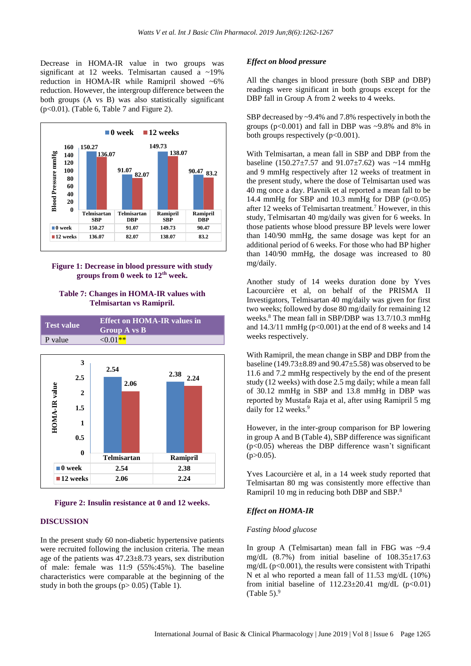Decrease in HOMA-IR value in two groups was significant at 12 weeks. Telmisartan caused a ~19% reduction in HOMA-IR while Ramipril showed ~6% reduction. However, the intergroup difference between the both groups (A vs B) was also statistically significant  $(p<0.01)$ . (Table 6, Table 7 and Figure 2).



## **Figure 1: Decrease in blood pressure with study groups from 0 week to 12th week.**

## **Table 7: Changes in HOMA-IR values with Telmisartan vs Ramipril.**





## **DISCUSSION**

In the present study 60 non-diabetic hypertensive patients were recruited following the inclusion criteria. The mean age of the patients was 47.23±8.73 years, sex distribution of male: female was 11:9 (55%:45%). The baseline characteristics were comparable at the beginning of the study in both the groups  $(p> 0.05)$  (Table 1).

#### *Effect on blood pressure*

All the changes in blood pressure (both SBP and DBP) readings were significant in both groups except for the DBP fall in Group A from 2 weeks to 4 weeks.

SBP decreased by ~9.4% and 7.8% respectively in both the groups ( $p<0.001$ ) and fall in DBP was  $\sim$ 9.8% and 8% in both groups respectively  $(p<0.001)$ .

With Telmisartan, a mean fall in SBP and DBP from the baseline  $(150.27 \pm 7.57$  and  $91.07 \pm 7.62)$  was ~14 mmHg and 9 mmHg respectively after 12 weeks of treatment in the present study, where the dose of Telmisartan used was 40 mg once a day. Plavnik et al reported a mean fall to be 14.4 mmHg for SBP and 10.3 mmHg for DBP  $(p<0.05)$ after 12 weeks of Telmisartan treatment.<sup>7</sup> However, in this study, Telmisartan 40 mg/daily was given for 6 weeks. In those patients whose blood pressure BP levels were lower than 140/90 mmHg, the same dosage was kept for an additional period of 6 weeks. For those who had BP higher than 140/90 mmHg, the dosage was increased to 80 mg/daily.

Another study of 14 weeks duration done by Yves Lacourcière et al, on behalf of the PRISMA II Investigators, Telmisartan 40 mg/daily was given for first two weeks; followed by dose 80 mg/daily for remaining 12 weeks.<sup>8</sup> The mean fall in SBP/DBP was 13.7/10.3 mmHg and  $14.3/11$  mmHg ( $p<0.001$ ) at the end of 8 weeks and 14 weeks respectively.

With Ramipril, the mean change in SBP and DBP from the baseline (149.73 $\pm$ 8.89 and 90.47 $\pm$ 5.58) was observed to be 11.6 and 7.2 mmHg respectively by the end of the present study (12 weeks) with dose 2.5 mg daily; while a mean fall of 30.12 mmHg in SBP and 13.8 mmHg in DBP was reported by Mustafa Raja et al, after using Ramipril 5 mg daily for 12 weeks.<sup>9</sup>

However, in the inter-group comparison for BP lowering in group A and B (Table 4), SBP difference was significant  $(p<0.05)$  whereas the DBP difference wasn't significant  $(p>0.05)$ .

Yves Lacourcière et al, in a 14 week study reported that Telmisartan 80 mg was consistently more effective than Ramipril 10 mg in reducing both DBP and SBP.<sup>8</sup>

#### *Effect on HOMA-IR*

#### *Fasting blood glucose*

In group A (Telmisartan) mean fall in FBG was ~9.4 mg/dL  $(8.7\%)$  from initial baseline of  $108.35\pm17.63$  $mg/dL$  ( $p<0.001$ ), the results were consistent with Tripathi N et al who reported a mean fall of 11.53 mg/dL (10%) from initial baseline of  $112.23 \pm 20.41$  mg/dL (p<0.01) (Table 5). $9$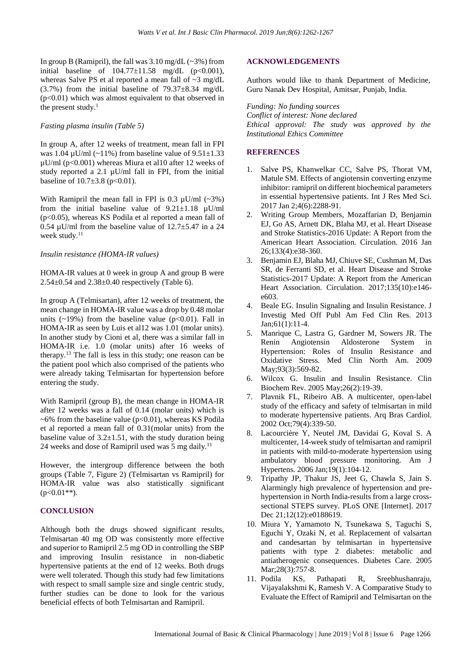In group B (Ramipril), the fall was  $3.10 \text{ mg/dL}$  (~3%) from initial baseline of  $104.77 \pm 11.58$  mg/dL (p<0.001), whereas Salve PS et al reported a mean fall of  $\sim$ 3 mg/dL  $(3.7\%)$  from the initial baseline of  $79.37\pm8.34$  mg/dL (p<0.01) which was almost equivalent to that observed in the present study. $<sup>1</sup>$ </sup>

## *Fasting plasma insulin (Table 5)*

In group A, after 12 weeks of treatment, mean fall in FPI was 1.04  $\mu$ U/ml (~11%) from baseline value of 9.51 $\pm$ 1.33 µU/ml (p<0.001) whereas Miura et al10 after 12 weeks of study reported a 2.1  $\mu$ U/ml fall in FPI, from the initial baseline of  $10.7\pm3.8$  (p<0.01).

With Ramipril the mean fall in FPI is 0.3  $\mu$ U/ml (~3%) from the initial baseline value of  $9.21 \pm 1.18$   $\mu$ U/ml (p<0.05), whereas KS Podila et al reported a mean fall of 0.54  $\mu$ U/ml from the baseline value of 12.7 $\pm$ 5.47 in a 24 week study.<sup>11</sup>

#### *Insulin resistance (HOMA-IR values)*

HOMA-IR values at 0 week in group A and group B were  $2.54 \pm 0.54$  and  $2.38 \pm 0.40$  respectively (Table 6).

In group A (Telmisartan), after 12 weeks of treatment, the mean change in HOMA-IR value was a drop by 0.48 molar units  $(-19\%)$  from the baseline value  $(p<0.01)$ . Fall in HOMA-IR as seen by Luis et al12 was 1.01 (molar units). In another study by Cioni et al, there was a similar fall in HOMA-IR i.e. 1.0 (molar units) after 16 weeks of therapy.<sup>13</sup> The fall is less in this study; one reason can be the patient pool which also comprised of the patients who were already taking Telmisartan for hypertension before entering the study.

With Ramipril (group B), the mean change in HOMA-IR after 12 weeks was a fall of 0.14 (molar units) which is  $~6\%$  from the baseline value (p<0.01), whereas KS Podila et al reported a mean fall of 0.31(molar units) from the baseline value of  $3.2 \pm 1.51$ , with the study duration being 24 weeks and dose of Ramipril used was  $5 \text{ mg daily}.$ <sup>11</sup>

However, the intergroup difference between the both groups (Table 7, Figure 2) (Telmisartan vs Ramipril) for HOMA-IR value was also statistically significant  $(p<0.01**)$ .

## **CONCLUSION**

Although both the drugs showed significant results, Telmisartan 40 mg OD was consistently more effective and superior to Ramipril 2.5 mg OD in controlling the SBP and improving Insulin resistance in non-diabetic hypertensive patients at the end of 12 weeks. Both drugs were well tolerated. Though this study had few limitations with respect to small sample size and single centric study, further studies can be done to look for the various beneficial effects of both Telmisartan and Ramipril.

#### **ACKNOWLEDGEMENTS**

Authors would like to thank Department of Medicine, Guru Nanak Dev Hospital, Amitsar, Punjab, India.

*Funding: No funding sources Conflict of interest: None declared Ethical approval: The study was approved by the Institutional Ethics Committee*

## **REFERENCES**

- 1. Salve PS, Khanwelkar CC, Salve PS, Thorat VM, Matule SM. Effects of angiotensin converting enzyme inhibitor: ramipril on different biochemical parameters in essential hypertensive patients. Int J Res Med Sci. 2017 Jan 2;4(6):2288-91.
- 2. Writing Group Members, Mozaffarian D, Benjamin EJ, Go AS, Arnett DK, Blaha MJ, et al. Heart Disease and Stroke Statistics-2016 Update: A Report from the American Heart Association. Circulation. 2016 Jan 26;133(4):e38-360.
- 3. Benjamin EJ, Blaha MJ, Chiuve SE, Cushman M, Das SR, de Ferranti SD, et al. Heart Disease and Stroke Statistics-2017 Update: A Report from the American Heart Association. Circulation. 2017;135(10):e146 e603.
- 4. Beale EG. Insulin Signaling and Insulin Resistance. J Investig Med Off Publ Am Fed Clin Res. 2013 Jan;61(1):11-4.
- 5. Manrique C, Lastra G, Gardner M, Sowers JR. The Renin Angiotensin Aldosterone System in Hypertension: Roles of Insulin Resistance and Oxidative Stress. Med Clin North Am. 2009 May; 93(3): 569-82.
- 6. Wilcox G. Insulin and Insulin Resistance. Clin Biochem Rev. 2005 May;26(2):19-39.
- 7. Plavnik FL, Ribeiro AB. A multicenter, open-label study of the efficacy and safety of telmisartan in mild to moderate hypertensive patients. Arq Bras Cardiol. 2002 Oct;79(4):339-50.
- 8. Lacourcière Y, Neutel JM, Davidai G, Koval S. A multicenter, 14-week study of telmisartan and ramipril in patients with mild-to-moderate hypertension using ambulatory blood pressure monitoring. Am J Hypertens. 2006 Jan;19(1):104-12.
- 9. Tripathy JP, Thakur JS, Jeet G, Chawla S, Jain S. Alarmingly high prevalence of hypertension and prehypertension in North India-results from a large crosssectional STEPS survey. PLoS ONE [Internet]. 2017 Dec 21;12(12):e0188619.
- 10. Miura Y, Yamamoto N, Tsunekawa S, Taguchi S, Eguchi Y, Ozaki N, et al. Replacement of valsartan and candesartan by telmisartan in hypertensive patients with type 2 diabetes: metabolic and antiatherogenic consequences. Diabetes Care. 2005 Mar; 28(3): 757-8.
- 11. Podila KS, Pathapati R, Sreebhushanraju, Vijayalakshmi K, Ramesh V. A Comparative Study to Evaluate the Effect of Ramipril and Telmisartan on the